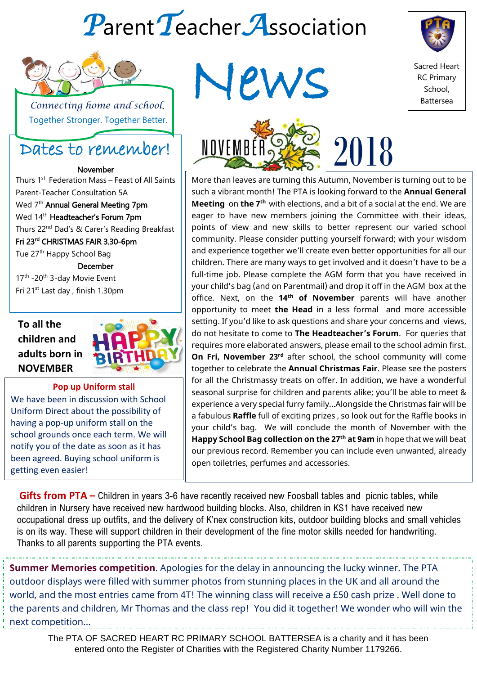# *P*arent*T*eacher*A*ssociation



 *Connecting home and school*. Together Stronger. Together Better.

# Dates to remember!

November Thurs 1<sup>st</sup> Federation Mass – Feast of All Saints Parent-Teacher Consultation 5A Wed 7<sup>th</sup> Annual General Meeting 7pm Wed 14<sup>th</sup> Headteacher's Forum 7pm Thurs 22<sup>nd</sup> Dad's & Carer's Reading Breakfast Fri 23rd CHRISTMAS FAIR 3.30-6pm Tue 27<sup>th</sup> Happy School Bag December 17<sup>th</sup> -20<sup>th</sup> 3-day Movie Event Fri 21st Last day , finish 1.30pm



#### **Pop up Uniform stall**

We have been in discussion with School Uniform Direct about the possibility of having a pop-up uniform stall on the school grounds once each term. We will notify you of the date as soon as it has been agreed. Buying school uniform is getting even easier!







More than leaves are turning this Autumn, November is turning out to be such a vibrant month! The PTA is looking forward to the **Annual General Meeting** on **the 7th** with elections, and a bit of a social at the end. We are eager to have new members joining the Committee with their ideas, points of view and new skills to better represent our varied school community. Please consider putting yourself forward; with your wisdom and experience together we'll create even better opportunities for all our children. There are many ways to get involved and it doesn't have to be a full-time job. Please complete the AGM form that you have received in your child's bag (and on Parentmail) and drop it off in the AGM box at the office. Next, on the **14th of November** parents will have another opportunity to meet **the Head** in a less formal and more accessible setting. If you'd like to ask questions and share your concerns and views, do not hesitate to come to **The Headteacher's Forum**. For queries that requires more elaborated answers, please email to the school admin first. **On Fri, November 23rd** after school, the school community will come together to celebrate the **Annual Christmas Fair**. Please see the posters for all the Christmassy treats on offer. In addition, we have a wonderful seasonal surprise for children and parents alike; you'll be able to meet & experience a very special furry family…Alongside the Christmas fair will be a fabulous **Raffle** full of exciting prizes , so look out for the Raffle books in your child's bag. We will conclude the month of November with the **Happy School Bag collection on the 27th at 9am** in hope that we will beat our previous record. Remember you can include even unwanted, already open toiletries, perfumes and accessories.

**Gifts from PTA –** Children in years 3-6 have recently received new Foosball tables and picnic tables, while children in Nursery have received new hardwood building blocks. Also, children in KS1 have received new occupational dress up outfits, and the delivery of K'nex construction kits, outdoor building blocks and small vehicles is on its way. These will support children in their development of the fine motor skills needed for handwriting. Thanks to all parents supporting the PTA events.

**Summer Memories competition**. Apologies for the delay in announcing the lucky winner. The PTA outdoor displays were filled with summer photos from stunning places in the UK and all around the world, and the most entries came from 4T! The winning class will receive a £50 cash prize . Well done to the parents and children, Mr Thomas and the class rep! You did it together! We wonder who will win the next competition…

The PTA OF SACRED HEART RC PRIMARY SCHOOL BATTERSEA is a charity and it has been entered onto the Register of Charities with the Registered Charity Number 1179266.